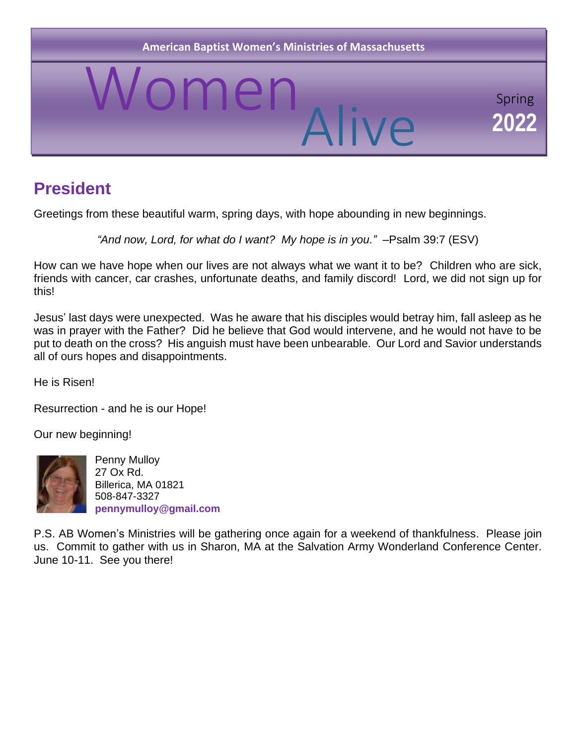

## **President**

Greetings from these beautiful warm, spring days, with hope abounding in new beginnings.

*"And now, Lord, for what do I want? My hope is in you."* –Psalm 39:7 (ESV)

How can we have hope when our lives are not always what we want it to be? Children who are sick, friends with cancer, car crashes, unfortunate deaths, and family discord! Lord, we did not sign up for this!

Jesus' last days were unexpected. Was he aware that his disciples would betray him, fall asleep as he was in prayer with the Father? Did he believe that God would intervene, and he would not have to be put to death on the cross? His anguish must have been unbearable. Our Lord and Savior understands all of ours hopes and disappointments.

He is Risen!

Resurrection - and he is our Hope!

Our new beginning!



Penny Mulloy 27 Ox Rd. Billerica, MA 01821 508-847-3327 **pennymulloy@gmail.com**

P.S. AB Women's Ministries will be gathering once again for a weekend of thankfulness. Please join us. Commit to gather with us in Sharon, MA at the Salvation Army Wonderland Conference Center. June 10-11. See you there!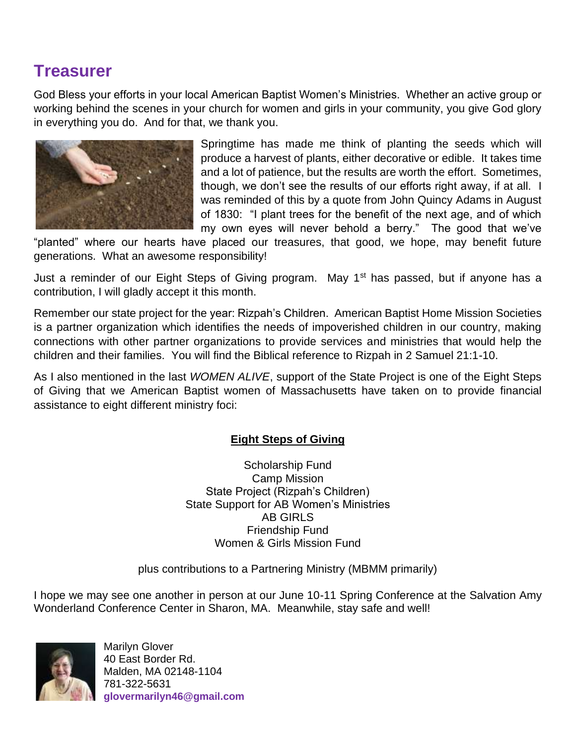### **Treasurer**

God Bless your efforts in your local American Baptist Women's Ministries. Whether an active group or working behind the scenes in your church for women and girls in your community, you give God glory in everything you do. And for that, we thank you.



Springtime has made me think of planting the seeds which will produce a harvest of plants, either decorative or edible. It takes time and a lot of patience, but the results are worth the effort. Sometimes, though, we don't see the results of our efforts right away, if at all. I was reminded of this by a quote from John Quincy Adams in August of 1830: "I plant trees for the benefit of the next age, and of which my own eyes will never behold a berry." The good that we've

"planted" where our hearts have placed our treasures, that good, we hope, may benefit future generations. What an awesome responsibility!

Just a reminder of our Eight Steps of Giving program. May 1<sup>st</sup> has passed, but if anyone has a contribution, I will gladly accept it this month.

Remember our state project for the year: Rizpah's Children. American Baptist Home Mission Societies is a partner organization which identifies the needs of impoverished children in our country, making connections with other partner organizations to provide services and ministries that would help the children and their families. You will find the Biblical reference to Rizpah in 2 Samuel 21:1-10.

As I also mentioned in the last *WOMEN ALIVE*, support of the State Project is one of the Eight Steps of Giving that we American Baptist women of Massachusetts have taken on to provide financial assistance to eight different ministry foci:

#### **Eight Steps of Giving**

Scholarship Fund Camp Mission State Project (Rizpah's Children) State Support for AB Women's Ministries AB GIRLS Friendship Fund Women & Girls Mission Fund

plus contributions to a Partnering Ministry (MBMM primarily)

I hope we may see one another in person at our June 10-11 Spring Conference at the Salvation Amy Wonderland Conference Center in Sharon, MA. Meanwhile, stay safe and well!



Marilyn Glover 40 East Border Rd. Malden, MA 02148-1104 781-322-5631 **[glovermarilyn46@gmail.com](mailto:glovermarilyn46@gmail.com)**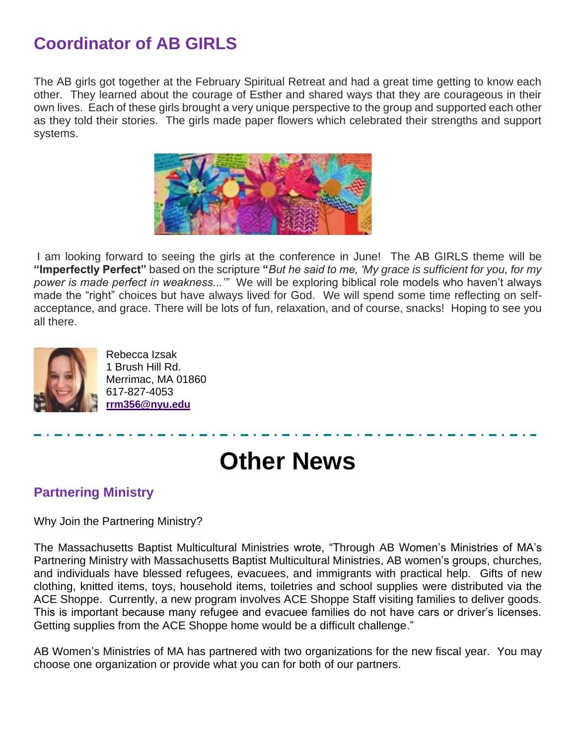## **Coordinator of AB GIRLS**

The AB girls got together at the February Spiritual Retreat and had a great time getting to know each other. They learned about the courage of Esther and shared ways that they are courageous in their own lives. Each of these girls brought a very unique perspective to the group and supported each other as they told their stories. The girls made paper flowers which celebrated their strengths and support systems.



I am looking forward to seeing the girls at the conference in June! The AB GIRLS theme will be **"Imperfectly Perfect"** based on the scripture **"***But he said to me, 'My grace is sufficient for you, for my power is made perfect in weakness...'"* We will be exploring biblical role models who haven't always made the "right" choices but have always lived for God. We will spend some time reflecting on selfacceptance, and grace. There will be lots of fun, relaxation, and of course, snacks! Hoping to see you all there.



Rebecca Izsak 1 Brush Hill Rd. Merrimac, MA 01860 617-827-4053 **[rrm356@nyu.edu](mailto:rrm356@nyu.edu)**

# **Other News**

### **Partnering Ministry**

Why Join the Partnering Ministry?

The Massachusetts Baptist Multicultural Ministries wrote, "Through AB Women's Ministries of MA's Partnering Ministry with Massachusetts Baptist Multicultural Ministries, AB women's groups, churches, and individuals have blessed refugees, evacuees, and immigrants with practical help. Gifts of new clothing, knitted items, toys, household items, toiletries and school supplies were distributed via the ACE Shoppe. Currently, a new program involves ACE Shoppe Staff visiting families to deliver goods. This is important because many refugee and evacuee families do not have cars or driver's licenses. Getting supplies from the ACE Shoppe home would be a difficult challenge."

AB Women's Ministries of MA has partnered with two organizations for the new fiscal year. You may choose one organization or provide what you can for both of our partners.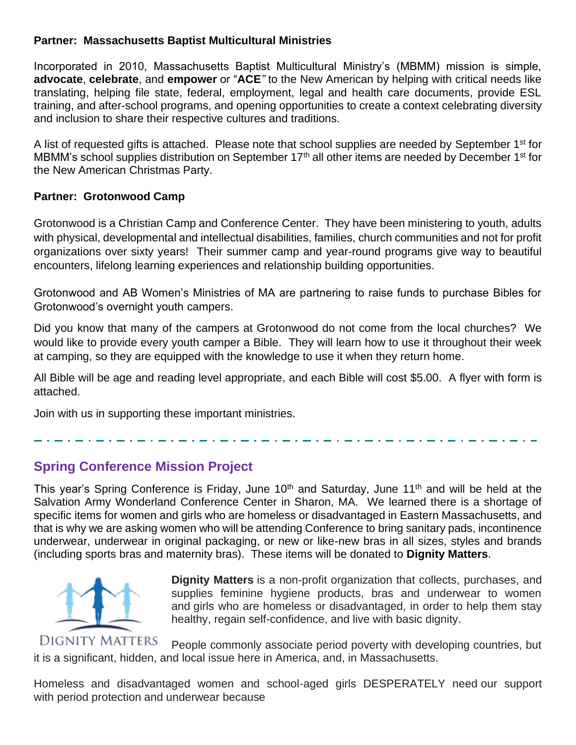#### **Partner: Massachusetts Baptist Multicultural Ministries**

Incorporated in 2010, Massachusetts Baptist Multicultural Ministry's (MBMM) mission is simple, **advocate**, **celebrate**, and **empower** or "**ACE***"* to the New American by helping with critical needs like translating, helping file state, federal, employment, legal and health care documents, provide ESL training, and after-school programs, and opening opportunities to create a context celebrating diversity and inclusion to share their respective cultures and traditions.

A list of requested gifts is attached. Please note that school supplies are needed by September 1<sup>st</sup> for MBMM's school supplies distribution on September 17<sup>th</sup> all other items are needed by December 1<sup>st</sup> for the New American Christmas Party.

#### **Partner: Grotonwood Camp**

Grotonwood is a Christian Camp and Conference Center. They have been ministering to youth, adults with physical, developmental and intellectual disabilities, families, church communities and not for profit organizations over sixty years! Their summer camp and year-round programs give way to beautiful encounters, lifelong learning experiences and relationship building opportunities.

Grotonwood and AB Women's Ministries of MA are partnering to raise funds to purchase Bibles for Grotonwood's overnight youth campers.

Did you know that many of the campers at Grotonwood do not come from the local churches? We would like to provide every youth camper a Bible. They will learn how to use it throughout their week at camping, so they are equipped with the knowledge to use it when they return home.

All Bible will be age and reading level appropriate, and each Bible will cost \$5.00. A flyer with form is attached.

Join with us in supporting these important ministries.

#### **Spring Conference Mission Project**

This year's Spring Conference is Friday, June 10<sup>th</sup> and Saturday, June 11<sup>th</sup> and will be held at the Salvation Army Wonderland Conference Center in Sharon, MA. We learned there is a shortage of specific items for women and girls who are homeless or disadvantaged in Eastern Massachusetts, and that is why we are asking women who will be attending Conference to bring sanitary pads, incontinence underwear, underwear in original packaging, or new or like-new bras in all sizes, styles and brands (including sports bras and maternity bras). These items will be donated to **Dignity Matters**.



**Dignity Matters** is a non-profit organization that collects, purchases, and supplies feminine hygiene products, bras and underwear to women and girls who are homeless or disadvantaged, in order to help them stay healthy, regain self-confidence, and live with basic dignity.

Dignity Matters People commonly associate period poverty with developing countries, but it is a significant, hidden, and local issue here in America, and, in Massachusetts.

Homeless and disadvantaged women and school-aged girls DESPERATELY need our support with period protection and underwear because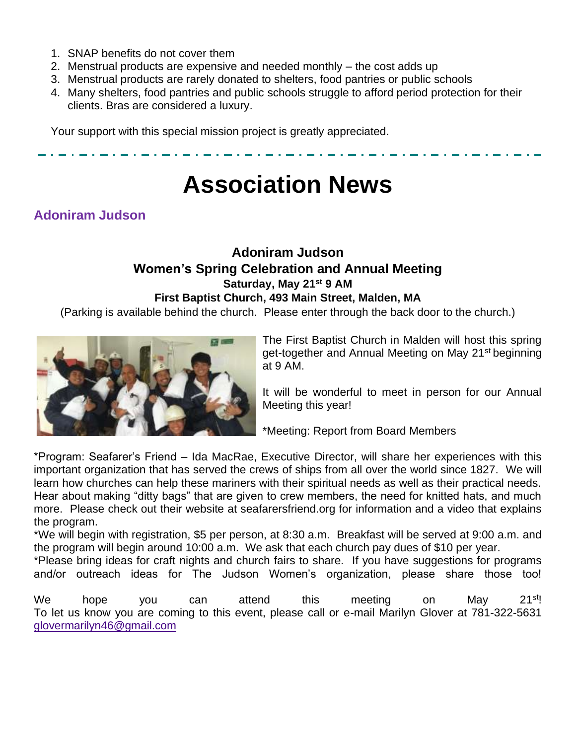- 1. SNAP benefits do not cover them
- 2. Menstrual products are expensive and needed monthly the cost adds up
- 3. Menstrual products are rarely donated to shelters, food pantries or public schools
- 4. Many shelters, food pantries and public schools struggle to afford period protection for their clients. Bras are considered a luxury.

Your support with this special mission project is greatly appreciated.

# **Association News**

### **Adoniram Judson**

#### **Adoniram Judson Women's Spring Celebration and Annual Meeting Saturday, May 21st 9 AM First Baptist Church, 493 Main Street, Malden, MA**

(Parking is available behind the church. Please enter through the back door to the church.)



The First Baptist Church in Malden will host this spring get-together and Annual Meeting on May 21<sup>st</sup> beginning at 9 AM.

It will be wonderful to meet in person for our Annual Meeting this year!

\*Meeting: Report from Board Members

\*Program: Seafarer's Friend – Ida MacRae, Executive Director, will share her experiences with this important organization that has served the crews of ships from all over the world since 1827. We will learn how churches can help these mariners with their spiritual needs as well as their practical needs. Hear about making "ditty bags" that are given to crew members, the need for knitted hats, and much more. Please check out their website at seafarersfriend.org for information and a video that explains the program.

\*We will begin with registration, \$5 per person, at 8:30 a.m. Breakfast will be served at 9:00 a.m. and the program will begin around 10:00 a.m. We ask that each church pay dues of \$10 per year.

\*Please bring ideas for craft nights and church fairs to share. If you have suggestions for programs and/or outreach ideas for The Judson Women's organization, please share those too!

We hope you can attend this meeting on May 21*<sup>s</sup>*<sup>t</sup>  $21$  st! To let us know you are coming to this event, please call or e-mail Marilyn Glover at 781-322-5631 [glovermarilyn46@gmail.com](mailto:glovermarilyn46@gmail.com)